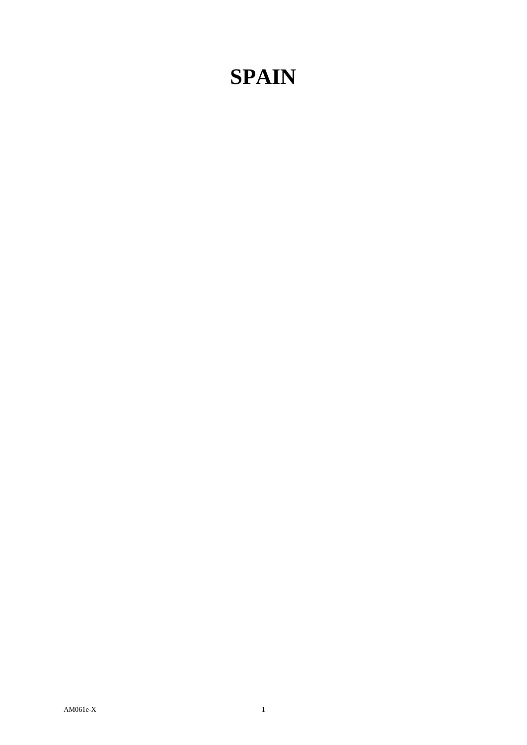## **SPAIN**